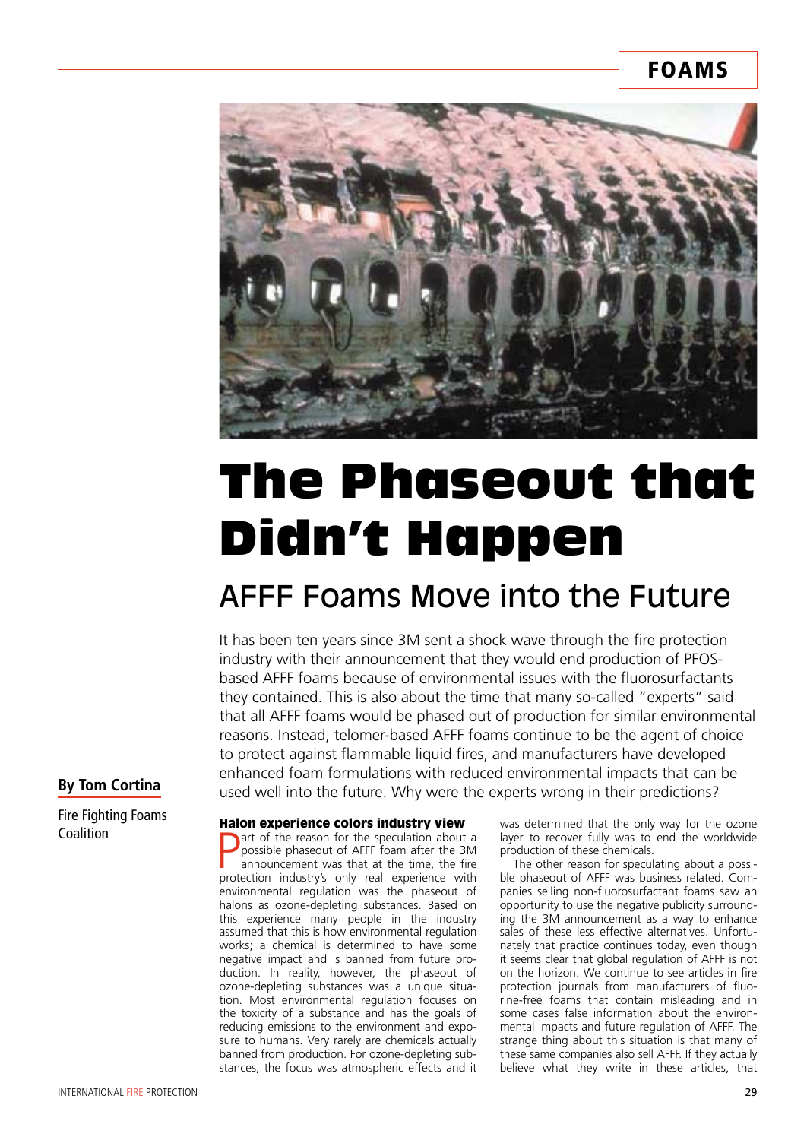### **FOAMS**



# The Phaseout that Didn't Happen

## AFFF Foams Move into the Future

It has been ten years since 3M sent a shock wave through the fire protection industry with their announcement that they would end production of PFOSbased AFFF foams because of environmental issues with the fluorosurfactants they contained. This is also about the time that many so-called "experts" said that all AFFF foams would be phased out of production for similar environmental reasons. Instead, telomer-based AFFF foams continue to be the agent of choice to protect against flammable liquid fires, and manufacturers have developed enhanced foam formulations with reduced environmental impacts that can be used well into the future. Why were the experts wrong in their predictions?

#### **By Tom Cortina**

Fire Fighting Foams Coalition

#### Halon experience colors industry view

**P** art of the reason for the speculation about a possible phaseout of AFFF foam after the 3M announcement was that at the time, the fire protection industry's only real experience with art of the reason for the speculation about a possible phaseout of AFFF foam after the 3M announcement was that at the time, the fire environmental regulation was the phaseout of halons as ozone-depleting substances. Based on this experience many people in the industry assumed that this is how environmental regulation works; a chemical is determined to have some negative impact and is banned from future production. In reality, however, the phaseout of ozone-depleting substances was a unique situation. Most environmental regulation focuses on the toxicity of a substance and has the goals of reducing emissions to the environment and exposure to humans. Very rarely are chemicals actually banned from production. For ozone-depleting substances, the focus was atmospheric effects and it

was determined that the only way for the ozone layer to recover fully was to end the worldwide production of these chemicals.

The other reason for speculating about a possible phaseout of AFFF was business related. Companies selling non-fluorosurfactant foams saw an opportunity to use the negative publicity surrounding the 3M announcement as a way to enhance sales of these less effective alternatives. Unfortunately that practice continues today, even though it seems clear that global regulation of AFFF is not on the horizon. We continue to see articles in fire protection journals from manufacturers of fluorine-free foams that contain misleading and in some cases false information about the environmental impacts and future regulation of AFFF. The strange thing about this situation is that many of these same companies also sell AFFF. If they actually believe what they write in these articles, that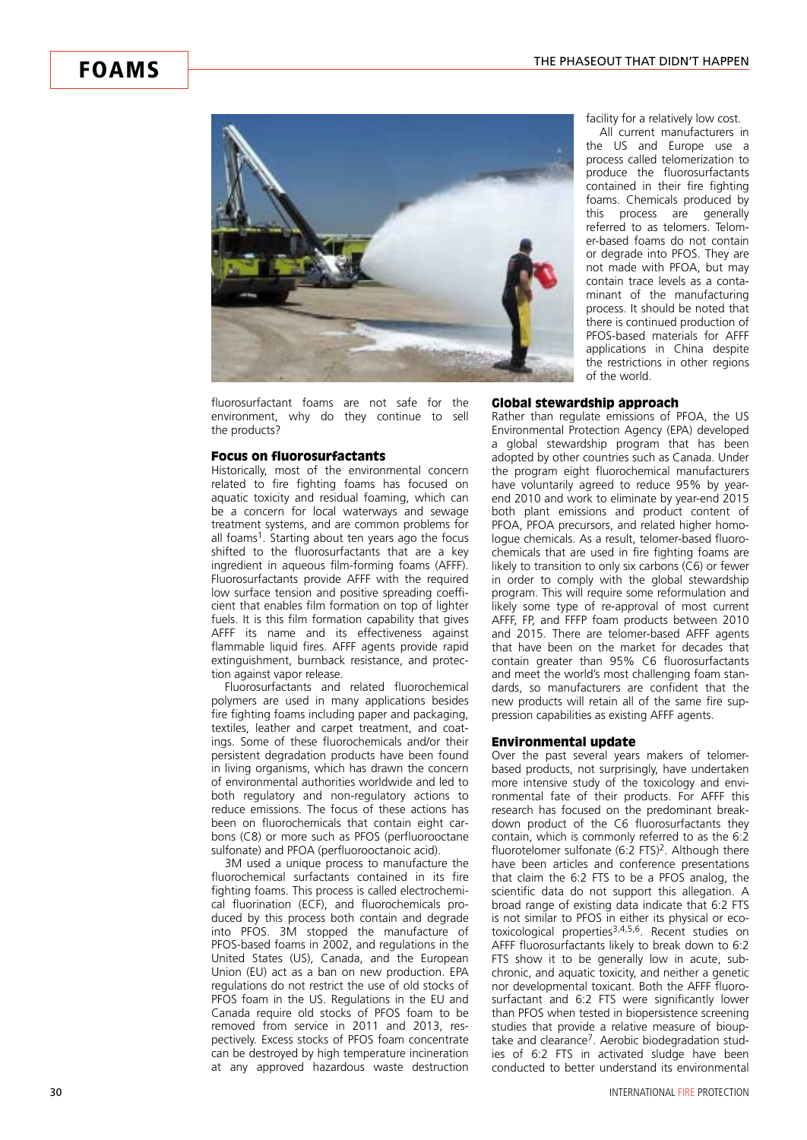

fluorosurfactant foams are not safe for the environment, why do they continue to sell the products?

#### Focus on fluorosurfactants

Historically, most of the environmental concern related to fire fighting foams has focused on aquatic toxicity and residual foaming, which can be a concern for local waterways and sewage treatment systems, and are common problems for all foams<sup>1</sup>. Starting about ten years ago the focus shifted to the fluorosurfactants that are a key ingredient in aqueous film-forming foams (AFFF). Fluorosurfactants provide AFFF with the required low surface tension and positive spreading coefficient that enables film formation on top of lighter fuels. It is this film formation capability that gives AFFF its name and its effectiveness against flammable liquid fires. AFFF agents provide rapid extinguishment, burnback resistance, and protection against vapor release.

Fluorosurfactants and related fluorochemical polymers are used in many applications besides fire fighting foams including paper and packaging, textiles, leather and carpet treatment, and coatings. Some of these fluorochemicals and/or their persistent degradation products have been found in living organisms, which has drawn the concern of environmental authorities worldwide and led to both regulatory and non-regulatory actions to reduce emissions. The focus of these actions has been on fluorochemicals that contain eight carbons (C8) or more such as PFOS (perfluorooctane sulfonate) and PFOA (perfluorooctanoic acid).

3M used a unique process to manufacture the fluorochemical surfactants contained in its fire fighting foams. This process is called electrochemical fluorination (ECF), and fluorochemicals produced by this process both contain and degrade into PFOS. 3M stopped the manufacture of PFOS-based foams in 2002, and regulations in the United States (US), Canada, and the European Union (EU) act as a ban on new production. EPA regulations do not restrict the use of old stocks of PFOS foam in the US. Regulations in the EU and Canada require old stocks of PFOS foam to be removed from service in 2011 and 2013, respectively. Excess stocks of PFOS foam concentrate can be destroyed by high temperature incineration at any approved hazardous waste destruction

facility for a relatively low cost.

All current manufacturers in the US and Europe use a process called telomerization to produce the fluorosurfactants contained in their fire fighting foams. Chemicals produced by this process are generally referred to as telomers. Telomer-based foams do not contain or degrade into PFOS. They are not made with PFOA, but may contain trace levels as a contaminant of the manufacturing process. It should be noted that there is continued production of PFOS-based materials for AFFF applications in China despite the restrictions in other regions of the world.

#### Global stewardship approach

Rather than regulate emissions of PFOA, the US Environmental Protection Agency (EPA) developed a global stewardship program that has been adopted by other countries such as Canada. Under the program eight fluorochemical manufacturers have voluntarily agreed to reduce 95% by yearend 2010 and work to eliminate by year-end 2015 both plant emissions and product content of PFOA, PFOA precursors, and related higher homologue chemicals. As a result, telomer-based fluorochemicals that are used in fire fighting foams are likely to transition to only six carbons (C6) or fewer in order to comply with the global stewardship program. This will require some reformulation and likely some type of re-approval of most current AFFF, FP, and FFFP foam products between 2010 and 2015. There are telomer-based AFFF agents that have been on the market for decades that contain greater than 95% C6 fluorosurfactants and meet the world's most challenging foam standards, so manufacturers are confident that the new products will retain all of the same fire suppression capabilities as existing AFFF agents.

#### Environmental update

Over the past several years makers of telomerbased products, not surprisingly, have undertaken more intensive study of the toxicology and environmental fate of their products. For AFFF this research has focused on the predominant breakdown product of the C6 fluorosurfactants they contain, which is commonly referred to as the 6:2 fluorotelomer sulfonate  $(6.2$  FTS $)^2$ . Although there have been articles and conference presentations that claim the 6:2 FTS to be a PFOS analog, the scientific data do not support this allegation. A broad range of existing data indicate that 6:2 FTS is not similar to PFOS in either its physical or ecotoxicological properties3,4,5,6. Recent studies on AFFF fluorosurfactants likely to break down to 6:2 FTS show it to be generally low in acute, subchronic, and aquatic toxicity, and neither a genetic nor developmental toxicant. Both the AFFF fluorosurfactant and 6:2 FTS were significantly lower than PFOS when tested in biopersistence screening studies that provide a relative measure of biouptake and clearance7. Aerobic biodegradation studies of 6:2 FTS in activated sludge have been conducted to better understand its environmental